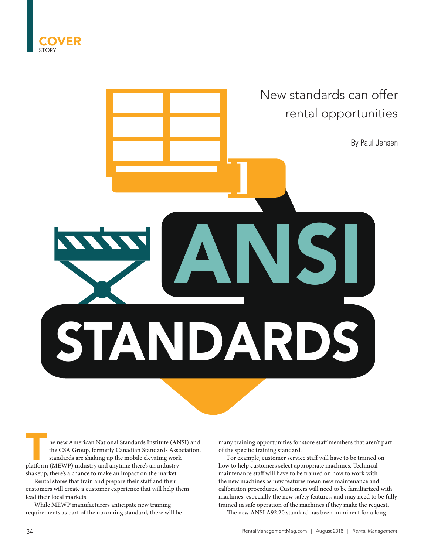



**The new American National Standards Institute (ANSI) and the CSA Group, formerly Canadian Standards Association, standards are shaking up the mobile elevating work platform (MEWP) industry and anytime there's an industry** the CSA Group, formerly Canadian Standards Association, standards are shaking up the mobile elevating work shakeup, there's a chance to make an impact on the market.

Rental stores that train and prepare their staff and their customers will create a customer experience that will help them lead their local markets.

While MEWP manufacturers anticipate new training requirements as part of the upcoming standard, there will be

many training opportunities for store staff members that aren't part of the specific training standard.

For example, customer service staff will have to be trained on how to help customers select appropriate machines. Technical maintenance staff will have to be trained on how to work with the new machines as new features mean new maintenance and calibration procedures. Customers will need to be familiarized with machines, especially the new safety features, and may need to be fully trained in safe operation of the machines if they make the request.

The new ANSI A92.20 standard has been imminent for a long